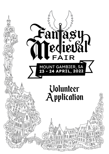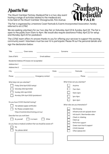## About the Fair

The Mount Gambier Fantasy Medieval Fair is a two-day event hosting a range of activities related to the medieval era, to be held at the Mount Gambier Showgrounds, Pick Avenue.



The Fair is organized by Limestone Coast Festivals & Events Incorporated Association, hereby referred to as LCF&E.

We are seeking volunteers for our two-day fair on Saturday April 23 & Sunday April 24. The fair is open to the public from 10am to 4pm. We would also require assistance Friday April 22 for setup and Monday April 25 for packdown.

The LCF&E team offers it's sincere thanks to you for offering your services to support this exciting community event. Volunteers must be over 16 to participate. Please fill out the personal details and sign the declaration below:

| Title:                                                            | Given name:                                                                                                                                                       |                                                                                           | Surname:                                                                                                                       |                                                                                               |
|-------------------------------------------------------------------|-------------------------------------------------------------------------------------------------------------------------------------------------------------------|-------------------------------------------------------------------------------------------|--------------------------------------------------------------------------------------------------------------------------------|-----------------------------------------------------------------------------------------------|
| Date of Birth:                                                    |                                                                                                                                                                   | Email address:                                                                            |                                                                                                                                |                                                                                               |
| Address line 1:                                                   | Residential Address (PO boxes not acceptable)                                                                                                                     | the control of the control of the control of the control of the control of the control of |                                                                                                                                |                                                                                               |
| Address line 2:                                                   |                                                                                                                                                                   |                                                                                           |                                                                                                                                |                                                                                               |
| City:                                                             |                                                                                                                                                                   | State:                                                                                    |                                                                                                                                | Postcode:                                                                                     |
| Phone:                                                            | Emergency contact:                                                                                                                                                |                                                                                           |                                                                                                                                | Phone:                                                                                        |
| What days can you volunteer?                                      | Friday 22nd April 2022 (setup)<br>Saturday 23rd April 2022<br>Sunday 24th April 2022<br>Monday 25th April 2022 (packdown)<br>Do you have COVID Marshall training? |                                                                                           |                                                                                                                                | What times can you volunteer?<br>Anytime<br>7am-Ilam<br>10am-2pm<br>lpm-4pm<br>3pm-5pm        |
|                                                                   | Yes (please supply certificate)<br>No. Please complete here:<br>https://marshal.clickontraining.com.au/                                                           |                                                                                           | What roles are you interested in?<br><b>Site Dressing</b><br>Infrastructure set up/pack down<br>Info booth / Merchandise sales |                                                                                               |
| Describe how you work best.<br>By yourself<br>In a team<br>Either |                                                                                                                                                                   |                                                                                           | Check-in, ticketing<br>Clean up                                                                                                |                                                                                               |
| No                                                                | Do you have a medical condition that we should be aware of?<br>Yes, please detail:                                                                                |                                                                                           |                                                                                                                                | Performer support<br>Green room host & support<br><b>COVID Marshal</b><br>Other (please list) |